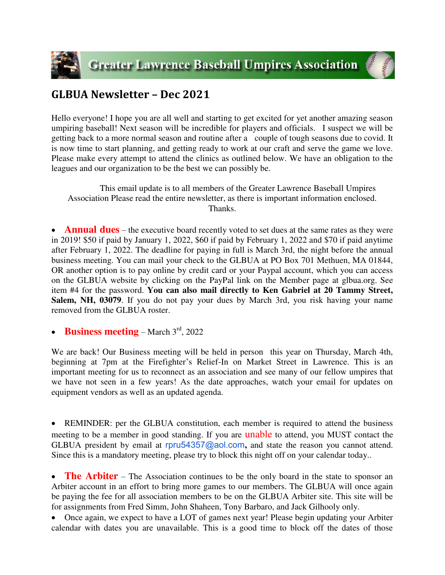



## **GLBUA Newsletter – Dec 2021**

Hello everyone! I hope you are all well and starting to get excited for yet another amazing season umpiring baseball! Next season will be incredible for players and officials. I suspect we will be getting back to a more normal season and routine after a couple of tough seasons due to covid. It is now time to start planning, and getting ready to work at our craft and serve the game we love. Please make every attempt to attend the clinics as outlined below. We have an obligation to the leagues and our organization to be the best we can possibly be.

 This email update is to all members of the Greater Lawrence Baseball Umpires Association Please read the entire newsletter, as there is important information enclosed. Thanks.

**Annual dues** – the executive board recently voted to set dues at the same rates as they were in 2019! \$50 if paid by January 1, 2022, \$60 if paid by February 1, 2022 and \$70 if paid anytime after February 1, 2022. The deadline for paying in full is March 3rd, the night before the annual business meeting. You can mail your check to the GLBUA at PO Box 701 Methuen, MA 01844, OR another option is to pay online by credit card or your Paypal account, which you can access on the GLBUA website by clicking on the PayPal link on the Member page at glbua.org. See item #4 for the password. **You can also mail directly to Ken Gabriel at 20 Tammy Street, Salem, NH, 03079**. If you do not pay your dues by March 3rd, you risk having your name removed from the GLBUA roster.

**Business meeting** – March 3rd, 2022

We are back! Our Business meeting will be held in person this year on Thursday, March 4th, beginning at 7pm at the Firefighter's Relief-In on Market Street in Lawrence. This is an important meeting for us to reconnect as an association and see many of our fellow umpires that we have not seen in a few years! As the date approaches, watch your email for updates on equipment vendors as well as an updated agenda.

• REMINDER: per the GLBUA constitution, each member is required to attend the business meeting to be a member in good standing. If you are **unable** to attend, you MUST contact the GLBUA president by email at rpru54357@aol.com**,** and state the reason you cannot attend. Since this is a mandatory meeting, please try to block this night off on your calendar today..

• **The Arbiter** – The Association continues to be the only board in the state to sponsor an Arbiter account in an effort to bring more games to our members. The GLBUA will once again be paying the fee for all association members to be on the GLBUA Arbiter site. This site will be for assignments from Fred Simm, John Shaheen, Tony Barbaro, and Jack Gilhooly only.

 Once again, we expect to have a LOT of games next year! Please begin updating your Arbiter calendar with dates you are unavailable. This is a good time to block off the dates of those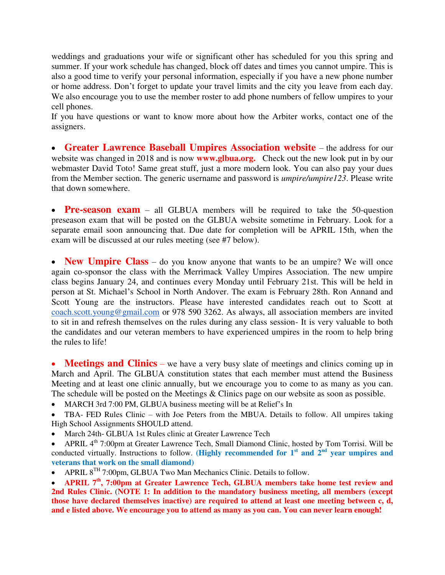weddings and graduations your wife or significant other has scheduled for you this spring and summer. If your work schedule has changed, block off dates and times you cannot umpire. This is also a good time to verify your personal information, especially if you have a new phone number or home address. Don't forget to update your travel limits and the city you leave from each day. We also encourage you to use the member roster to add phone numbers of fellow umpires to your cell phones.

If you have questions or want to know more about how the Arbiter works, contact one of the assigners.

 **Greater Lawrence Baseball Umpires Association website** – the address for our website was changed in 2018 and is now **www.glbua.org.** Check out the new look put in by our webmaster David Toto! Same great stuff, just a more modern look. You can also pay your dues from the Member section. The generic username and password is *umpire/umpire123*. Please write that down somewhere.

**Pre-season exam** – all GLBUA members will be required to take the 50-question preseason exam that will be posted on the GLBUA website sometime in February. Look for a separate email soon announcing that. Due date for completion will be APRIL 15th, when the exam will be discussed at our rules meeting (see #7 below).

• **New Umpire Class** – do you know anyone that wants to be an umpire? We will once again co-sponsor the class with the Merrimack Valley Umpires Association. The new umpire class begins January 24, and continues every Monday until February 21st. This will be held in person at St. Michael's School in North Andover. The exam is February 28th. Ron Annand and Scott Young are the instructors. Please have interested candidates reach out to Scott at [coach.scott.young@gmail.com](mailto:coach.scott.young@gmail.com) or 978 590 3262. As always, all association members are invited to sit in and refresh themselves on the rules during any class session- It is very valuable to both the candidates and our veteran members to have experienced umpires in the room to help bring the rules to life!

• **Meetings and Clinics** – we have a very busy slate of meetings and clinics coming up in March and April. The GLBUA constitution states that each member must attend the Business Meeting and at least one clinic annually, but we encourage you to come to as many as you can. The schedule will be posted on the Meetings & Clinics page on our website as soon as possible.

• MARCH 3rd 7:00 PM, GLBUA business meeting will be at Relief's In

 TBA- FED Rules Clinic – with Joe Peters from the MBUA. Details to follow. All umpires taking High School Assignments SHOULD attend.

March 24th- GLBUA 1st Rules clinic at Greater Lawrence Tech

• APRIL  $4<sup>th</sup>$  7:00pm at Greater Lawrence Tech, Small Diamond Clinic, hosted by Tom Torrisi. Will be conducted virtually. Instructions to follow. (Highly recommended for  $1<sup>st</sup>$  and  $2<sup>nd</sup>$  year umpires and **veterans that work on the small diamond)**

• APRIL  $8^{TH}$  7:00pm, GLBUA Two Man Mechanics Clinic. Details to follow.

 **APRIL 7th, 7:00pm at Greater Lawrence Tech, GLBUA members take home test review and 2nd Rules Clinic.** (**NOTE 1: In addition to the mandatory business meeting, all members (except those have declared themselves inactive) are required to attend at least one meeting between c, d, and e listed above. We encourage you to attend as many as you can. You can never learn enough!**